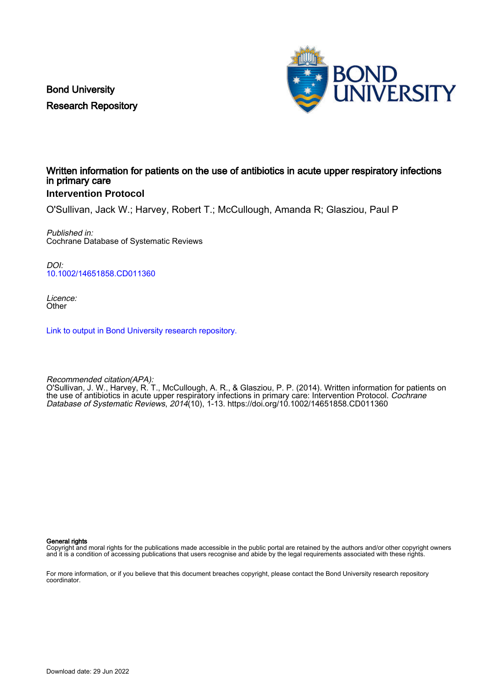Bond University Research Repository



# Written information for patients on the use of antibiotics in acute upper respiratory infections in primary care

# **Intervention Protocol**

O'Sullivan, Jack W.; Harvey, Robert T.; McCullough, Amanda R; Glasziou, Paul P

Published in: Cochrane Database of Systematic Reviews

DOI: [10.1002/14651858.CD011360](https://doi.org/10.1002/14651858.CD011360)

Licence: **Other** 

[Link to output in Bond University research repository.](https://research.bond.edu.au/en/publications/8a277efa-00d1-406d-b8ae-821fc89906b6)

Recommended citation(APA): O'Sullivan, J. W., Harvey, R. T., McCullough, A. R., & Glasziou, P. P. (2014). Written information for patients on the use of antibiotics in acute upper respiratory infections in primary care: Intervention Protocol. Cochrane Database of Systematic Reviews, 2014(10), 1-13. <https://doi.org/10.1002/14651858.CD011360>

General rights

Copyright and moral rights for the publications made accessible in the public portal are retained by the authors and/or other copyright owners and it is a condition of accessing publications that users recognise and abide by the legal requirements associated with these rights.

For more information, or if you believe that this document breaches copyright, please contact the Bond University research repository coordinator.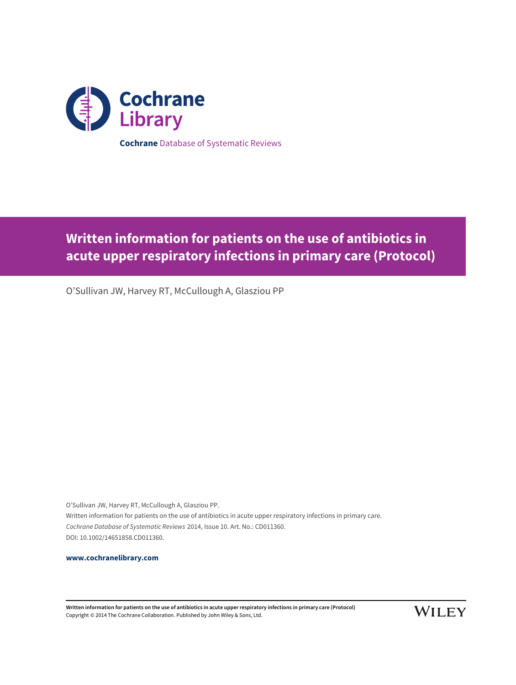

# **Written information for patients on the use of antibiotics in acute upper respiratory infections in primary care (Protocol)**

O'Sullivan JW, Harvey RT, McCullough A, Glasziou PP

O'Sullivan JW, Harvey RT, McCullough A, Glasziou PP. Written information for patients on the use of antibiotics in acute upper respiratory infections in primary care. Cochrane Database of Systematic Reviews 2014, Issue 10. Art. No.: CD011360. DOI: 10.1002/14651858.CD011360.

**[www.cochranelibrary.com](http://www.cochranelibrary.com)**

**Written information for patients on the use of antibiotics in acute upper respiratory infections in primary care (Protocol)** Copyright © 2014 The Cochrane Collaboration. Published by John Wiley & Sons, Ltd.

**WILEY**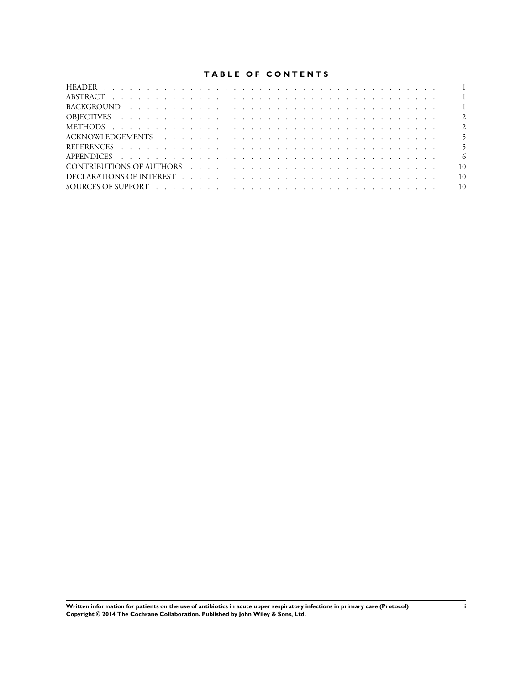## **TABLE OF CONTENTS**

|                                                                                                                                                                                                                                | - 6             |
|--------------------------------------------------------------------------------------------------------------------------------------------------------------------------------------------------------------------------------|-----------------|
| CONTRIBUTIONS OF AUTHORS (experience of the contract of the contract of the contract of the contract of the contract of the contract of the contract of the contract of the contract of the contract of the contract of the co | 10              |
|                                                                                                                                                                                                                                | $\overline{10}$ |
|                                                                                                                                                                                                                                |                 |
|                                                                                                                                                                                                                                |                 |

**Written information for patients on the use of antibiotics in acute upper respiratory infections in primary care (Protocol) i Copyright © 2014 The Cochrane Collaboration. Published by John Wiley & Sons, Ltd.**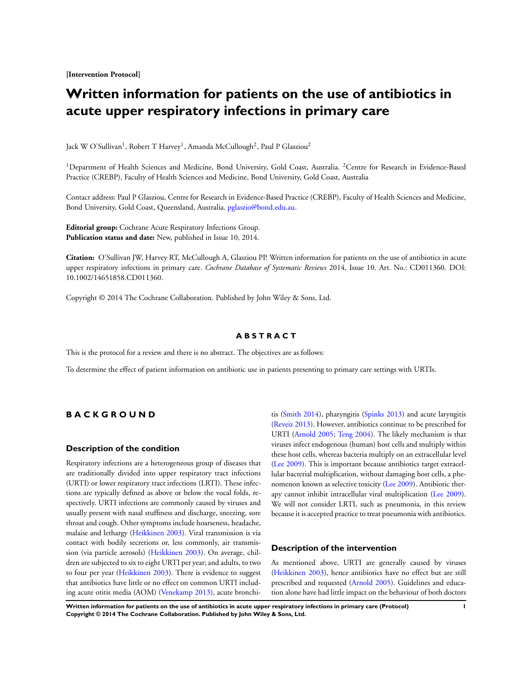<span id="page-3-0"></span>**[Intervention Protocol]**

# **Written information for patients on the use of antibiotics in acute upper respiratory infections in primary care**

Jack W O'Sullivan<sup>1</sup>, Robert T Harvey<sup>1</sup>, Amanda McCullough<sup>2</sup>, Paul P Glasziou<sup>2</sup>

<sup>1</sup>Department of Health Sciences and Medicine, Bond University, Gold Coast, Australia. <sup>2</sup>Centre for Research in Evidence-Based Practice (CREBP), Faculty of Health Sciences and Medicine, Bond University, Gold Coast, Australia

Contact address: Paul P Glasziou, Centre for Research in Evidence-Based Practice (CREBP), Faculty of Health Sciences and Medicine, Bond University, Gold Coast, Queensland, Australia. [pglaszio@bond.edu.au.](mailto:pglaszio@bond.edu.au)

**Editorial group:** Cochrane Acute Respiratory Infections Group. **Publication status and date:** New, published in Issue 10, 2014.

**Citation:** O'Sullivan JW, Harvey RT, McCullough A, Glasziou PP. Written information for patients on the use of antibiotics in acute upper respiratory infections in primary care. *Cochrane Database of Systematic Reviews* 2014, Issue 10. Art. No.: CD011360. DOI: 10.1002/14651858.CD011360.

Copyright © 2014 The Cochrane Collaboration. Published by John Wiley & Sons, Ltd.

#### **A B S T R A C T**

This is the protocol for a review and there is no abstract. The objectives are as follows:

To determine the effect of patient information on antibiotic use in patients presenting to primary care settings with URTIs.

## **B A C K G R O U N D**

## **Description of the condition**

Respiratory infections are a heterogeneous group of diseases that are traditionally divided into upper respiratory tract infections (URTI) or lower respiratory tract infections (LRTI). These infections are typically defined as above or below the vocal folds, respectively. URTI infections are commonly caused by viruses and usually present with nasal stuffiness and discharge, sneezing, sore throat and cough. Other symptoms include hoarseness, headache, malaise and lethargy ([Heikkinen 2003](#page-7-0)). Viral transmission is via contact with bodily secretions or, less commonly, air transmission (via particle aerosols) ([Heikkinen 2003\)](#page-7-0). On average, children are subjected to six to eight URTI per year; and adults, to two to four per year [\(Heikkinen 2003\)](#page-7-0). There is evidence to suggest that antibiotics have little or no effect on common URTI including acute otitis media (AOM) ([Venekamp 2013](#page-7-0)), acute bronchi-

tis ([Smith 2014](#page-7-0)), pharyngitis ([Spinks 2013](#page-7-0)) and acute laryngitis [\(Reveiz 2013](#page-7-0)). However, antibiotics continue to be prescribed for URTI ([Arnold 2005](#page-7-0); [Teng 2004](#page-7-0)). The likely mechanism is that viruses infect endogenous (human) host cells and multiply within these host cells, whereas bacteria multiply on an extracellular level [\(Lee 2009\)](#page-7-0). This is important because antibiotics target extracellular bacterial multiplication, without damaging host cells, a phenomenon known as selective toxicity ([Lee 2009\)](#page-7-0). Antibiotic therapy cannot inhibit intracellular viral multiplication ([Lee 2009](#page-7-0)). We will not consider LRTI, such as pneumonia, in this review because it is accepted practice to treat pneumonia with antibiotics.

## **Description of the intervention**

As mentioned above, URTI are generally caused by viruses [\(Heikkinen 2003](#page-7-0)), hence antibiotics have no effect but are still prescribed and requested ([Arnold 2005](#page-7-0)). Guidelines and education alone have had little impact on the behaviour of both doctors

**Written information for patients on the use of antibiotics in acute upper respiratory infections in primary care (Protocol) 1 Copyright © 2014 The Cochrane Collaboration. Published by John Wiley & Sons, Ltd.**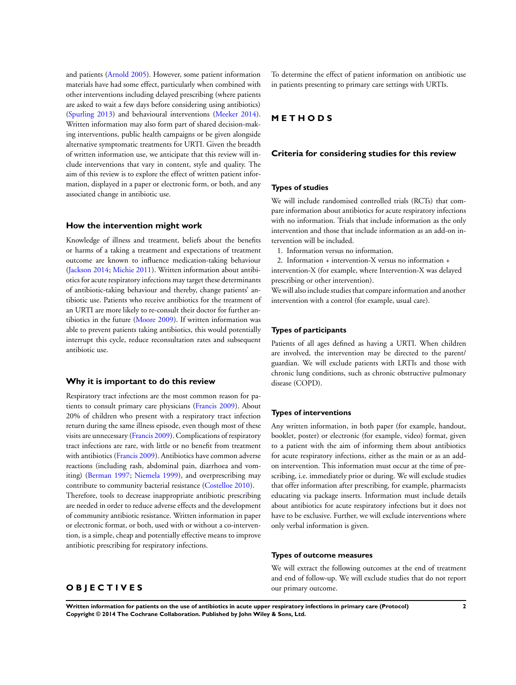and patients [\(Arnold 2005](#page-7-0)). However, some patient information materials have had some effect, particularly when combined with other interventions including delayed prescribing (where patients are asked to wait a few days before considering using antibiotics) [\(Spurling 2013](#page-7-0)) and behavioural interventions ([Meeker 2014](#page-7-0)). Written information may also form part of shared decision-making interventions, public health campaigns or be given alongside alternative symptomatic treatments for URTI. Given the breadth of written information use, we anticipate that this review will include interventions that vary in content, style and quality. The aim of this review is to explore the effect of written patient information, displayed in a paper or electronic form, or both, and any associated change in antibiotic use.

#### **How the intervention might work**

Knowledge of illness and treatment, beliefs about the benefits or harms of a taking a treatment and expectations of treatment outcome are known to influence medication-taking behaviour [\(Jackson 2014;](#page-7-0) [Michie 2011](#page-7-0)). Written information about antibiotics for acute respiratory infections may target these determinants of antibiotic-taking behaviour and thereby, change patients' antibiotic use. Patients who receive antibiotics for the treatment of an URTI are more likely to re-consult their doctor for further antibiotics in the future ([Moore 2009](#page-7-0)). If written information was able to prevent patients taking antibiotics, this would potentially interrupt this cycle, reduce reconsultation rates and subsequent antibiotic use.

#### **Why it is important to do this review**

Respiratory tract infections are the most common reason for patients to consult primary care physicians ([Francis 2009](#page-7-0)). About 20% of children who present with a respiratory tract infection return during the same illness episode, even though most of these visits are unnecessary [\(Francis 2009](#page-7-0)). Complications of respiratory tract infections are rare, with little or no benefit from treatment with antibiotics [\(Francis 2009\)](#page-7-0). Antibiotics have common adverse reactions (including rash, abdominal pain, diarrhoea and vomiting) [\(Berman 1997;](#page-7-0) [Niemela 1999\)](#page-7-0), and overprescribing may contribute to community bacterial resistance [\(Costelloe 2010\)](#page-7-0). Therefore, tools to decrease inappropriate antibiotic prescribing are needed in order to reduce adverse effects and the development of community antibiotic resistance. Written information in paper or electronic format, or both, used with or without a co-intervention, is a simple, cheap and potentially effective means to improve antibiotic prescribing for respiratory infections.

## To determine the effect of patient information on antibiotic use in patients presenting to primary care settings with URTIs.

## **M E T H O D S**

#### **Criteria for considering studies for this review**

## **Types of studies**

We will include randomised controlled trials (RCTs) that compare information about antibiotics for acute respiratory infections with no information. Trials that include information as the only intervention and those that include information as an add-on intervention will be included.

1. Information versus no information.

2. Information + intervention-X versus no information + intervention-X (for example, where Intervention-X was delayed prescribing or other intervention).

We will also include studies that compare information and another intervention with a control (for example, usual care).

#### **Types of participants**

Patients of all ages defined as having a URTI. When children are involved, the intervention may be directed to the parent/ guardian. We will exclude patients with LRTIs and those with chronic lung conditions, such as chronic obstructive pulmonary disease (COPD).

#### **Types of interventions**

Any written information, in both paper (for example, handout, booklet, poster) or electronic (for example, video) format, given to a patient with the aim of informing them about antibiotics for acute respiratory infections, either as the main or as an addon intervention. This information must occur at the time of prescribing, i.e. immediately prior or during. We will exclude studies that offer information after prescribing, for example, pharmacists educating via package inserts. Information must include details about antibiotics for acute respiratory infections but it does not have to be exclusive. Further, we will exclude interventions where only verbal information is given.

#### **Types of outcome measures**

We will extract the following outcomes at the end of treatment and end of follow-up. We will exclude studies that do not report our primary outcome.

# **O B J E C T I V E S**

**Written information for patients on the use of antibiotics in acute upper respiratory infections in primary care (Protocol) 2 Copyright © 2014 The Cochrane Collaboration. Published by John Wiley & Sons, Ltd.**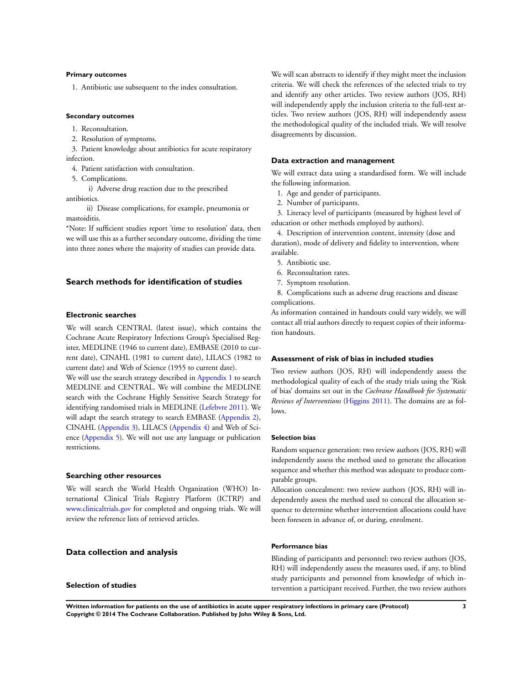#### **Primary outcomes**

1. Antibiotic use subsequent to the index consultation.

#### **Secondary outcomes**

- 1. Reconsultation.
- 2. Resolution of symptoms.

3. Patient knowledge about antibiotics for acute respiratory infection.

- 4. Patient satisfaction with consultation.
- 5. Complications.

i) Adverse drug reaction due to the prescribed

antibiotics.

ii) Disease complications, for example, pneumonia or mastoiditis.

\*Note: If sufficient studies report 'time to resolution' data, then we will use this as a further secondary outcome, dividing the time into three zones where the majority of studies can provide data.

## **Search methods for identification of studies**

#### **Electronic searches**

We will search CENTRAL (latest issue), which contains the Cochrane Acute Respiratory Infections Group's Specialised Register, MEDLINE (1946 to current date), EMBASE (2010 to current date), CINAHL (1981 to current date), LILACS (1982 to current date) and Web of Science (1955 to current date).

We will use the search strategy described in [Appendix 1](#page-8-0) to search MEDLINE and CENTRAL. We will combine the MEDLINE search with the Cochrane Highly Sensitive Search Strategy for identifying randomised trials in MEDLINE ([Lefebvre 2011](#page-7-0)). We will adapt the search strategy to search EMBASE ([Appendix 2](#page-9-0)), CINAHL ([Appendix 3](#page-10-0)), LILACS ([Appendix 4](#page-11-0)) and Web of Science [\(Appendix 5](#page-11-0)). We will not use any language or publication restrictions.

#### **Searching other resources**

We will search the World Health Organization (WHO) International Clinical Trials Registry Platform (ICTRP) and [www.clinicaltrials.gov](http://www.clinicaltrials.gov) for completed and ongoing trials. We will review the reference lists of retrieved articles.

#### **Data collection and analysis**

#### **Selection of studies**

We will scan abstracts to identify if they might meet the inclusion criteria. We will check the references of the selected trials to try and identify any other articles. Two review authors (JOS, RH) will independently apply the inclusion criteria to the full-text articles. Two review authors (JOS, RH) will independently assess the methodological quality of the included trials. We will resolve disagreements by discussion.

#### **Data extraction and management**

We will extract data using a standardised form. We will include the following information.

- 1. Age and gender of participants.
- 2. Number of participants.

3. Literacy level of participants (measured by highest level of education or other methods employed by authors).

4. Description of intervention content, intensity (dose and duration), mode of delivery and fidelity to intervention, where available.

- 5. Antibiotic use.
- 6. Reconsultation rates.
- 7. Symptom resolution.

8. Complications such as adverse drug reactions and disease complications.

As information contained in handouts could vary widely, we will contact all trial authors directly to request copies of their information handouts.

#### **Assessment of risk of bias in included studies**

Two review authors (JOS, RH) will independently assess the methodological quality of each of the study trials using the 'Risk of bias' domains set out in the *Cochrane Handbook for Systematic Reviews of Interventions* [\(Higgins 2011](#page-7-0)). The domains are as follows.

#### **Selection bias**

Random sequence generation: two review authors (JOS, RH) will independently assess the method used to generate the allocation sequence and whether this method was adequate to produce comparable groups.

Allocation concealment: two review authors (JOS, RH) will independently assess the method used to conceal the allocation sequence to determine whether intervention allocations could have been foreseen in advance of, or during, enrolment.

#### **Performance bias**

Blinding of participants and personnel: two review authors (JOS, RH) will independently assess the measures used, if any, to blind study participants and personnel from knowledge of which intervention a participant received. Further, the two review authors

**Written information for patients on the use of antibiotics in acute upper respiratory infections in primary care (Protocol) 3 Copyright © 2014 The Cochrane Collaboration. Published by John Wiley & Sons, Ltd.**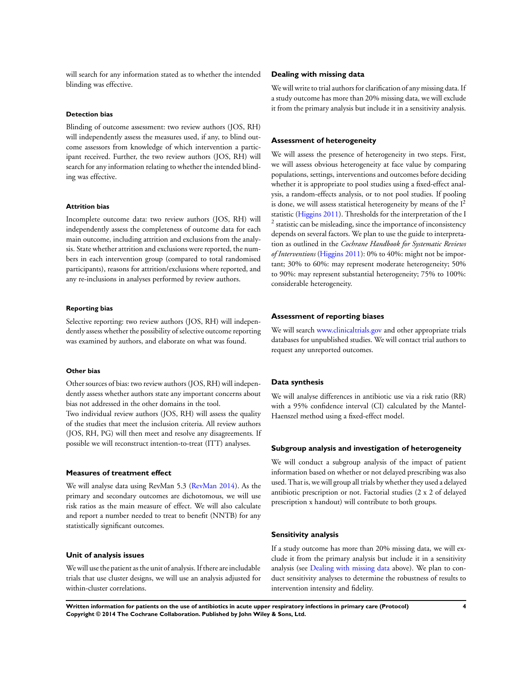will search for any information stated as to whether the intended blinding was effective.

#### **Detection bias**

Blinding of outcome assessment: two review authors (JOS, RH) will independently assess the measures used, if any, to blind outcome assessors from knowledge of which intervention a participant received. Further, the two review authors (JOS, RH) will search for any information relating to whether the intended blinding was effective.

#### **Attrition bias**

Incomplete outcome data: two review authors (JOS, RH) will independently assess the completeness of outcome data for each main outcome, including attrition and exclusions from the analysis. State whether attrition and exclusions were reported, the numbers in each intervention group (compared to total randomised participants), reasons for attrition/exclusions where reported, and any re-inclusions in analyses performed by review authors.

#### **Reporting bias**

Selective reporting: two review authors (JOS, RH) will independently assess whether the possibility of selective outcome reporting was examined by authors, and elaborate on what was found.

#### **Other bias**

Other sources of bias: two review authors (JOS, RH) will independently assess whether authors state any important concerns about bias not addressed in the other domains in the tool. Two individual review authors (JOS, RH) will assess the quality of the studies that meet the inclusion criteria. All review authors (JOS, RH, PG) will then meet and resolve any disagreements. If possible we will reconstruct intention-to-treat (ITT) analyses.

#### **Measures of treatment effect**

We will analyse data using RevMan 5.3 ([RevMan 2014](#page-7-0)). As the primary and secondary outcomes are dichotomous, we will use risk ratios as the main measure of effect. We will also calculate and report a number needed to treat to benefit (NNTB) for any statistically significant outcomes.

#### **Unit of analysis issues**

We will use the patient as the unit of analysis. If there are includable trials that use cluster designs, we will use an analysis adjusted for within-cluster correlations.

#### **Dealing with missing data**

We will write to trial authors for clarification of any missing data. If a study outcome has more than 20% missing data, we will exclude it from the primary analysis but include it in a sensitivity analysis.

#### **Assessment of heterogeneity**

We will assess the presence of heterogeneity in two steps. First, we will assess obvious heterogeneity at face value by comparing populations, settings, interventions and outcomes before deciding whether it is appropriate to pool studies using a fixed-effect analysis, a random-effects analysis, or to not pool studies. If pooling is done, we will assess statistical heterogeneity by means of the  $I<sup>2</sup>$ statistic ([Higgins 2011](#page-7-0)). Thresholds for the interpretation of the I <sup>2</sup> statistic can be misleading, since the importance of inconsistency depends on several factors. We plan to use the guide to interpretation as outlined in the *Cochrane Handbook for Systematic Reviews of Interventions* [\(Higgins 2011\)](#page-7-0): 0% to 40%: might not be important; 30% to 60%: may represent moderate heterogeneity; 50% to 90%: may represent substantial heterogeneity; 75% to 100%: considerable heterogeneity.

#### **Assessment of reporting biases**

We will search [www.clinicaltrials.gov](http://www.clinicaltrials.gov) and other appropriate trials databases for unpublished studies. We will contact trial authors to request any unreported outcomes.

#### **Data synthesis**

We will analyse differences in antibiotic use via a risk ratio (RR) with a 95% confidence interval (CI) calculated by the Mantel-Haenszel method using a fixed-effect model.

#### **Subgroup analysis and investigation of heterogeneity**

We will conduct a subgroup analysis of the impact of patient information based on whether or not delayed prescribing was also used. That is, we will group all trials by whether they used a delayed antibiotic prescription or not. Factorial studies (2 x 2 of delayed prescription x handout) will contribute to both groups.

#### **Sensitivity analysis**

If a study outcome has more than 20% missing data, we will exclude it from the primary analysis but include it in a sensitivity analysis (see [Dealing with missing data](#page-3-0) above). We plan to conduct sensitivity analyses to determine the robustness of results to intervention intensity and fidelity.

**Written information for patients on the use of antibiotics in acute upper respiratory infections in primary care (Protocol) 4 Copyright © 2014 The Cochrane Collaboration. Published by John Wiley & Sons, Ltd.**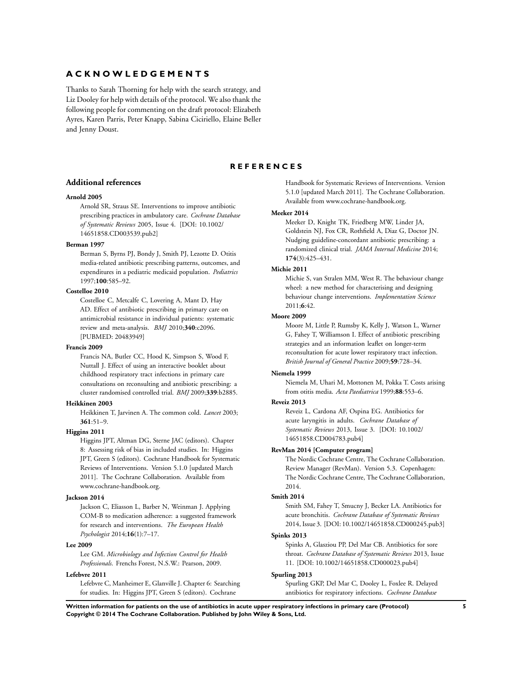## <span id="page-7-0"></span>**A C K N O W L E D G E M E N T S**

Thanks to Sarah Thorning for help with the search strategy, and Liz Dooley for help with details of the protocol. We also thank the following people for commenting on the draft protocol: Elizabeth Ayres, Karen Parris, Peter Knapp, Sabina Ciciriello, Elaine Beller and Jenny Doust.

#### **R E F E R E N C E S**

#### **Additional references**

#### **Arnold 2005**

Arnold SR, Straus SE. Interventions to improve antibiotic prescribing practices in ambulatory care. *Cochrane Database of Systematic Reviews* 2005, Issue 4. [DOI: 10.1002/ 14651858.CD003539.pub2]

#### **Berman 1997**

Berman S, Byrns PJ, Bondy J, Smith PJ, Lezotte D. Otitis media-related antibiotic prescribing patterns, outcomes, and expenditures in a pediatric medicaid population. *Pediatrics* 1997;**100**:585–92.

#### **Costelloe 2010**

Costelloe C, Metcalfe C, Lovering A, Mant D, Hay AD. Effect of antibiotic prescribing in primary care on antimicrobial resistance in individual patients: systematic review and meta-analysis. *BMJ* 2010;**340**:c2096. [PUBMED: 20483949]

#### **Francis 2009**

Francis NA, Butler CC, Hood K, Simpson S, Wood F, Nuttall J. Effect of using an interactive booklet about childhood respiratory tract infections in primary care consultations on reconsulting and antibiotic prescribing: a cluster randomised controlled trial. *BMJ* 2009;**339**:b2885.

#### **Heikkinen 2003**

Heikkinen T, Jarvinen A. The common cold. *Lancet* 2003; **361**:51–9.

## **Higgins 2011**

Higgins JPT, Altman DG, Sterne JAC (editors). Chapter 8: Assessing risk of bias in included studies. In: Higgins JPT, Green S (editors). Cochrane Handbook for Systematic Reviews of Interventions. Version 5.1.0 [updated March 2011]. The Cochrane Collaboration. Available from www.cochrane-handbook.org.

#### **Jackson 2014**

Jackson C, Eliasson L, Barber N, Weinman J. Applying COM-B to medication adherence: a suggested framework for research and interventions. *The European Health Psychologist* 2014;**16**(1):7–17.

#### **Lee 2009**

Lee GM. *Microbiology and Infection Control for Health Professionals*. Frenchs Forest, N.S.W.: Pearson, 2009.

## **Lefebvre 2011**

Lefebvre C, Manheimer E, Glanville J. Chapter 6: Searching for studies. In: Higgins JPT, Green S (editors). Cochrane

Handbook for Systematic Reviews of Interventions. Version 5.1.0 [updated March 2011]. The Cochrane Collaboration. Available from www.cochrane-handbook.org.

#### **Meeker 2014**

Meeker D, Knight TK, Friedberg MW, Linder JA, Goldstein NJ, Fox CR, Rothfield A, Diaz G, Doctor JN. Nudging guideline-concordant antibiotic prescribing: a randomized clinical trial. *JAMA Internal Medicine* 2014; **174**(3):425–431.

#### **Michie 2011**

Michie S, van Stralen MM, West R. The behaviour change wheel: a new method for characterising and designing behaviour change interventions. *Implementation Science* 2011;**6**:42.

## **Moore 2009**

Moore M, Little P, Rumsby K, Kelly J, Watson L, Warner G, Fahey T, Williamson I. Effect of antibiotic prescribing strategies and an information leaflet on longer-term reconsultation for acute lower respiratory tract infection. *British Journal of General Practice* 2009;**59**:728–34.

#### **Niemela 1999**

Niemela M, Uhari M, Mottonen M, Pokka T. Costs arising from otitis media. *Acta Paediatrica* 1999;**88**:553–6.

## **Reveiz 2013**

Reveiz L, Cardona AF, Ospina EG. Antibiotics for acute laryngitis in adults. *Cochrane Database of Systematic Reviews* 2013, Issue 3. [DOI: 10.1002/ 14651858.CD004783.pub4]

#### **RevMan 2014 [Computer program]**

The Nordic Cochrane Centre, The Cochrane Collaboration. Review Manager (RevMan). Version 5.3. Copenhagen: The Nordic Cochrane Centre, The Cochrane Collaboration, 2014.

#### **Smith 2014**

Smith SM, Fahey T, Smucny J, Becker LA. Antibiotics for acute bronchitis. *Cochrane Database of Systematic Reviews* 2014, Issue 3. [DOI: 10.1002/14651858.CD000245.pub3]

#### **Spinks 2013**

Spinks A, Glasziou PP, Del Mar CB. Antibiotics for sore throat. *Cochrane Database of Systematic Reviews* 2013, Issue 11. [DOI: 10.1002/14651858.CD000023.pub4]

#### **Spurling 2013**

Spurling GKP, Del Mar C, Dooley L, Foxlee R. Delayed antibiotics for respiratory infections. *Cochrane Database*

**Written information for patients on the use of antibiotics in acute upper respiratory infections in primary care (Protocol) 5 Copyright © 2014 The Cochrane Collaboration. Published by John Wiley & Sons, Ltd.**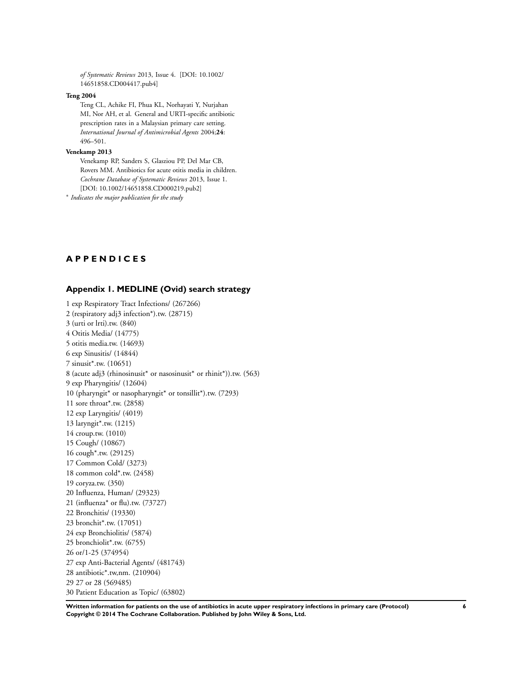<span id="page-8-0"></span>*of Systematic Reviews* 2013, Issue 4. [DOI: 10.1002/ 14651858.CD004417.pub4]

#### **Teng 2004**

Teng CL, Achike FI, Phua KL, Norhayati Y, Nurjahan MI, Nor AH, et al. General and URTI-specific antibiotic prescription rates in a Malaysian primary care setting. *International Journal of Antimicrobial Agents* 2004;**24**: 496–501.

#### **Venekamp 2013**

Venekamp RP, Sanders S, Glasziou PP, Del Mar CB, Rovers MM. Antibiotics for acute otitis media in children. *Cochrane Database of Systematic Reviews* 2013, Issue 1. [DOI: 10.1002/14651858.CD000219.pub2]

∗ *Indicates the major publication for the study*

## **A P P E N D I C E S**

## **Appendix 1. MEDLINE (Ovid) search strategy**

1 exp Respiratory Tract Infections/ (267266) 2 (respiratory adj3 infection\*).tw. (28715) 3 (urti or lrti).tw. (840) 4 Otitis Media/ (14775) 5 otitis media.tw. (14693) 6 exp Sinusitis/ (14844) 7 sinusit\*.tw. (10651) 8 (acute adj3 (rhinosinusit\* or nasosinusit\* or rhinit\*)).tw. (563) 9 exp Pharyngitis/ (12604) 10 (pharyngit\* or nasopharyngit\* or tonsillit\*).tw. (7293) 11 sore throat\*.tw. (2858) 12 exp Laryngitis/ (4019) 13 laryngit\*.tw. (1215) 14 croup.tw. (1010) 15 Cough/ (10867) 16 cough\*.tw. (29125) 17 Common Cold/ (3273) 18 common cold\*.tw. (2458) 19 coryza.tw. (350) 20 Influenza, Human/ (29323) 21 (influenza\* or flu).tw. (73727) 22 Bronchitis/ (19330) 23 bronchit\*.tw. (17051) 24 exp Bronchiolitis/ (5874) 25 bronchiolit\*.tw. (6755) 26 or/1-25 (374954) 27 exp Anti-Bacterial Agents/ (481743) 28 antibiotic\*.tw,nm. (210904) 29 27 or 28 (569485) 30 Patient Education as Topic/ (63802)

**Written information for patients on the use of antibiotics in acute upper respiratory infections in primary care (Protocol) 6 Copyright © 2014 The Cochrane Collaboration. Published by John Wiley & Sons, Ltd.**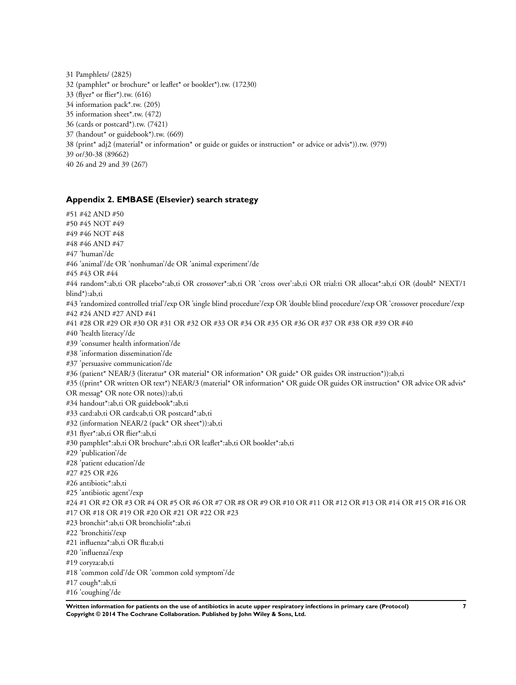<span id="page-9-0"></span>31 Pamphlets/ (2825) 32 (pamphlet\* or brochure\* or leaflet\* or booklet\*).tw. (17230) 33 (flyer\* or flier\*).tw. (616) 34 information pack\*.tw. (205) 35 information sheet\*.tw. (472) 36 (cards or postcard\*).tw. (7421) 37 (handout\* or guidebook\*).tw. (669) 38 (print\* adj2 (material\* or information\* or guide or guides or instruction\* or advice or advis\*)).tw. (979) 39 or/30-38 (89662) 40 26 and 29 and 39 (267)

## **Appendix 2. EMBASE (Elsevier) search strategy**

#51 #42 AND #50 #50 #45 NOT #49 #49 #46 NOT #48 #48 #46 AND #47 #47 'human'/de #46 'animal'/de OR 'nonhuman'/de OR 'animal experiment'/de #45 #43 OR #44 #44 random\*:ab,ti OR placebo\*:ab,ti OR crossover\*:ab,ti OR 'cross over':ab,ti OR trial:ti OR allocat\*:ab,ti OR (doubl\* NEXT/1 blind\*):ab,ti #43 'randomized controlled trial'/exp OR 'single blind procedure'/exp OR 'double blind procedure'/exp OR 'crossover procedure'/exp #42 #24 AND #27 AND #41 #41 #28 OR #29 OR #30 OR #31 OR #32 OR #33 OR #34 OR #35 OR #36 OR #37 OR #38 OR #39 OR #40 #40 'health literacy'/de #39 'consumer health information'/de #38 'information dissemination'/de #37 'persuasive communication'/de #36 (patient\* NEAR/3 (literatur\* OR material\* OR information\* OR guide\* OR guides OR instruction\*)):ab,ti #35 ((print\* OR written OR text\*) NEAR/3 (material\* OR information\* OR guide OR guides OR instruction\* OR advice OR advis\* OR messag\* OR note OR notes)):ab,ti #34 handout\*:ab,ti OR guidebook\*:ab,ti #33 card:ab,ti OR cards:ab,ti OR postcard\*:ab,ti #32 (information NEAR/2 (pack\* OR sheet\*)):ab,ti #31 flyer\*:ab,ti OR flier\*:ab,ti #30 pamphlet\*:ab,ti OR brochure\*:ab,ti OR leaflet\*:ab,ti OR booklet\*:ab,ti #29 'publication'/de #28 'patient education'/de #27 #25 OR #26 #26 antibiotic\*:ab,ti #25 'antibiotic agent'/exp #24 #1 OR #2 OR #3 OR #4 OR #5 OR #6 OR #7 OR #8 OR #9 OR #10 OR #11 OR #12 OR #13 OR #14 OR #15 OR #16 OR #17 OR #18 OR #19 OR #20 OR #21 OR #22 OR #23 #23 bronchit\*:ab,ti OR bronchiolit\*:ab,ti #22 'bronchitis'/exp #21 influenza\*:ab,ti OR flu:ab,ti #20 'influenza'/exp #19 coryza:ab,ti #18 'common cold'/de OR 'common cold symptom'/de #17 cough\*:ab,ti #16 'coughing'/de

**Written information for patients on the use of antibiotics in acute upper respiratory infections in primary care (Protocol) 7 Copyright © 2014 The Cochrane Collaboration. Published by John Wiley & Sons, Ltd.**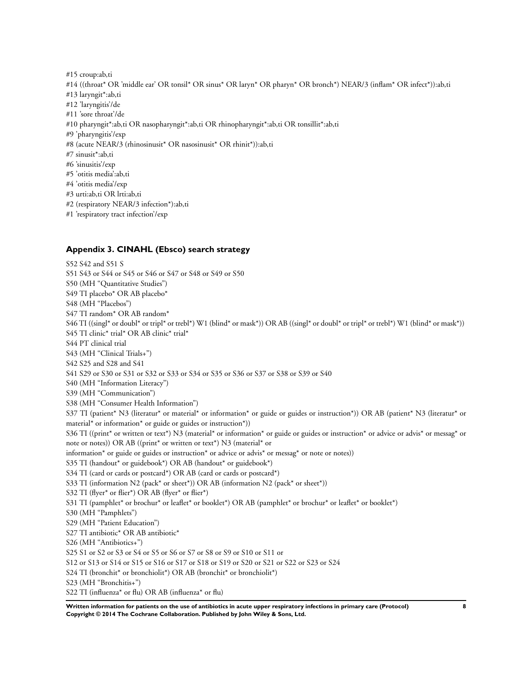- <span id="page-10-0"></span>#15 croup:ab,ti #14 ((throat\* OR 'middle ear' OR tonsil\* OR sinus\* OR laryn\* OR pharyn\* OR bronch\*) NEAR/3 (inflam\* OR infect\*)):ab,ti #13 laryngit\*:ab,ti #12 'laryngitis'/de #11 'sore throat'/de #10 pharyngit\*:ab,ti OR nasopharyngit\*:ab,ti OR rhinopharyngit\*:ab,ti OR tonsillit\*:ab,ti #9 'pharyngitis'/exp #8 (acute NEAR/3 (rhinosinusit\* OR nasosinusit\* OR rhinit\*)):ab,ti #7 sinusit\*:ab,ti #6 'sinusitis'/exp #5 'otitis media':ab,ti #4 'otitis media'/exp #3 urti:ab,ti OR lrti:ab,ti #2 (respiratory NEAR/3 infection\*):ab,ti
- #1 'respiratory tract infection'/exp

## **Appendix 3. CINAHL (Ebsco) search strategy**

S52 S42 and S51 S S51 S43 or S44 or S45 or S46 or S47 or S48 or S49 or S50 S50 (MH "Quantitative Studies") S49 TI placebo\* OR AB placebo\* S48 (MH "Placebos") S47 TI random\* OR AB random\* S46 TI ((singl\* or doubl\* or tripl\* or trebl\*) W1 (blind\* or mask\*)) OR AB ((singl\* or doubl\* or tripl\* or trebl\*) W1 (blind\* or mask\*)) S45 TI clinic\* trial\* OR AB clinic\* trial\* S44 PT clinical trial S43 (MH "Clinical Trials+") S42 S25 and S28 and S41 S41 S29 or S30 or S31 or S32 or S33 or S34 or S35 or S36 or S37 or S38 or S39 or S40 S40 (MH "Information Literacy") S39 (MH "Communication") S38 (MH "Consumer Health Information") S37 TI (patient\* N3 (literatur\* or material\* or information\* or guide or guides or instruction\*)) OR AB (patient\* N3 (literatur\* or material\* or information\* or guide or guides or instruction\*)) S36 TI ((print\* or written or text\*) N3 (material\* or information\* or guide or guides or instruction\* or advice or advis\* or messag\* or note or notes)) OR AB ((print\* or written or text\*) N3 (material\* or information\* or guide or guides or instruction\* or advice or advis\* or messag\* or note or notes)) S35 TI (handout\* or guidebook\*) OR AB (handout\* or guidebook\*) S34 TI (card or cards or postcard\*) OR AB (card or cards or postcard\*) S33 TI (information N2 (pack\* or sheet\*)) OR AB (information N2 (pack\* or sheet\*)) S32 TI (flyer<sup>\*</sup> or flier<sup>\*</sup>) OR AB (flyer<sup>\*</sup> or flier<sup>\*</sup>) S31 TI (pamphlet\* or brochur\* or leaflet\* or booklet\*) OR AB (pamphlet\* or brochur\* or leaflet\* or booklet\*) S30 (MH "Pamphlets") S29 (MH "Patient Education") S27 TI antibiotic\* OR AB antibiotic\* S26 (MH "Antibiotics+") S25 S1 or S2 or S3 or S4 or S5 or S6 or S7 or S8 or S9 or S10 or S11 or S12 or S13 or S14 or S15 or S16 or S17 or S18 or S19 or S20 or S21 or S22 or S23 or S24 S24 TI (bronchit\* or bronchiolit\*) OR AB (bronchit\* or bronchiolit\*) S23 (MH "Bronchitis+") S22 TI (influenza\* or flu) OR AB (influenza\* or flu)

**Written information for patients on the use of antibiotics in acute upper respiratory infections in primary care (Protocol) 8 Copyright © 2014 The Cochrane Collaboration. Published by John Wiley & Sons, Ltd.**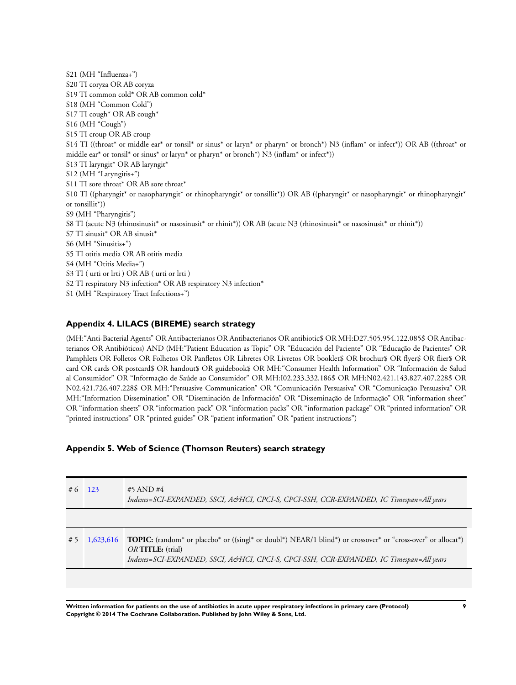<span id="page-11-0"></span>S21 (MH "Influenza+") S20 TI coryza OR AB coryza S19 TI common cold\* OR AB common cold\* S18 (MH "Common Cold") S17 TI cough\* OR AB cough\* S16 (MH "Cough") S15 TI croup OR AB croup S14 TI ((throat\* or middle ear\* or tonsil\* or sinus\* or laryn\* or pharyn\* or bronch\*) N3 (inflam\* or infect\*)) OR AB ((throat\* or middle ear\* or tonsil\* or sinus\* or laryn\* or pharyn\* or bronch\*) N3 (inflam\* or infect\*)) S13 TI laryngit\* OR AB laryngit\* S12 (MH "Laryngitis+") S11 TI sore throat\* OR AB sore throat\* S10 TI ((pharyngit\* or nasopharyngit\* or rhinopharyngit\* or tonsillit\*)) OR AB ((pharyngit\* or nasopharyngit\* or rhinopharyngit\* or tonsillit\*)) S9 (MH "Pharyngitis") S8 TI (acute N3 (rhinosinusit\* or nasosinusit\* or rhinit\*)) OR AB (acute N3 (rhinosinusit\* or nasosinusit\* or rhinit\*)) S7 TI sinusit\* OR AB sinusit\* S6 (MH "Sinusitis+") S5 TI otitis media OR AB otitis media S4 (MH "Otitis Media+") S3 TI ( urti or lrti ) OR AB ( urti or lrti ) S2 TI respiratory N3 infection\* OR AB respiratory N3 infection\* S1 (MH "Respiratory Tract Infections+")

## **Appendix 4. LILACS (BIREME) search strategy**

(MH:"Anti-Bacterial Agents" OR Antibacterianos OR Antibacterianos OR antibiotic\$ OR MH:D27.505.954.122.085\$ OR Antibacterianos OR Antibióticos) AND (MH:"Patient Education as Topic" OR "Educación del Paciente" OR "Educação de Pacientes" OR Pamphlets OR Folletos OR Folhetos OR Panfletos OR Libretes OR Livretos OR booklet\$ OR brochur\$ OR flyer\$ OR flier\$ OR card OR cards OR postcard\$ OR handout\$ OR guidebook\$ OR MH:"Consumer Health Information" OR "Información de Salud al Consumidor" OR "Informação de Saúde ao Consumidor" OR MH:I02.233.332.186\$ OR MH:N02.421.143.827.407.228\$ OR N02.421.726.407.228\$ OR MH:"Persuasive Communication" OR "Comunicación Persuasiva" OR "Comunicação Persuasiva" OR MH:"Information Dissemination" OR "Diseminación de Información" OR "Disseminação de Informação" OR "information sheet" OR "information sheets" OR "information pack" OR "information packs" OR "information package" OR "printed information" OR "printed instructions" OR "printed guides" OR "patient information" OR "patient instructions")

## **Appendix 5. Web of Science (Thomson Reuters) search strategy**

| # 6 | 123       | #5 AND #4<br>Indexes=SCI-EXPANDED, SSCI, A&HCI, CPCI-S, CPCI-SSH, CCR-EXPANDED, IC Timespan=All years                                                                                                                                    |
|-----|-----------|------------------------------------------------------------------------------------------------------------------------------------------------------------------------------------------------------------------------------------------|
|     |           |                                                                                                                                                                                                                                          |
| #5  | 1,623,616 | TOPIC: (random* or placebo* or ((singl* or doubl*) NEAR/1 blind*) or crossover* or "cross-over" or allocat*)<br>$OR$ TITLE: $(\text{trial})$<br>Indexes=SCI-EXPANDED, SSCI, A&HCI, CPCI-S, CPCI-SSH, CCR-EXPANDED, IC Timespan=All years |
|     |           |                                                                                                                                                                                                                                          |

**Written information for patients on the use of antibiotics in acute upper respiratory infections in primary care (Protocol) 9 Copyright © 2014 The Cochrane Collaboration. Published by John Wiley & Sons, Ltd.**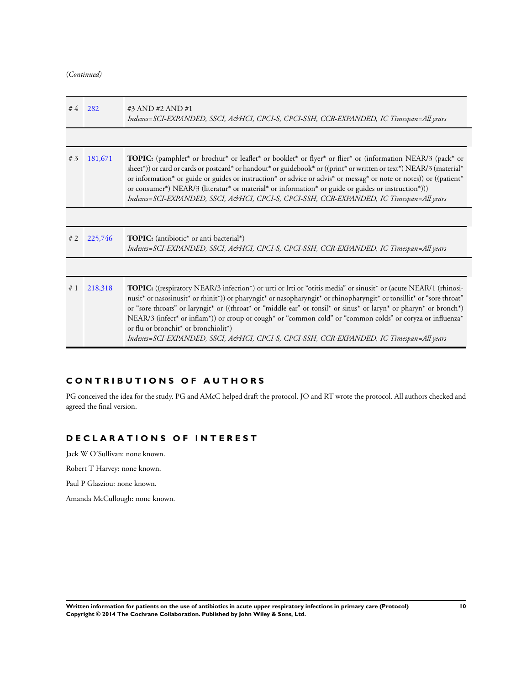(*Continued)*

| #4 | 282     | #3 AND #2 AND #1<br>Indexes=SCI-EXPANDED, SSCI, A&HCI, CPCI-S, CPCI-SSH, CCR-EXPANDED, IC Timespan=All years                                                                                                                                                                                                                                                                                                                                                                                                                                                      |
|----|---------|-------------------------------------------------------------------------------------------------------------------------------------------------------------------------------------------------------------------------------------------------------------------------------------------------------------------------------------------------------------------------------------------------------------------------------------------------------------------------------------------------------------------------------------------------------------------|
|    |         |                                                                                                                                                                                                                                                                                                                                                                                                                                                                                                                                                                   |
| #3 | 181,671 | <b>TOPIC:</b> (pamphlet* or brochur* or leaflet* or booklet* or flyer* or flier* or (information NEAR/3 (pack* or<br>sheet*)) or card or cards or postcard* or handout* or guidebook* or ((print* or written or text*) NEAR/3 (material*<br>or information* or guide or guides or instruction* or advice or advis* or messag* or note or notes)) or ((patient*<br>or consumer*) NEAR/3 (literatur* or material* or information* or guide or guides or instruction*)))<br>Indexes=SCI-EXPANDED, SSCI, A&HCI, CPCI-S, CPCI-SSH, CCR-EXPANDED, IC Timespan=All years |
|    |         |                                                                                                                                                                                                                                                                                                                                                                                                                                                                                                                                                                   |
| #2 | 225,746 | <b>TOPIC:</b> (antibiotic <sup>*</sup> or anti-bacterial <sup>*</sup> )<br>Indexes=SCI-EXPANDED, SSCI, A&HCI, CPCI-S, CPCI-SSH, CCR-EXPANDED, IC Timespan=All years                                                                                                                                                                                                                                                                                                                                                                                               |
|    |         |                                                                                                                                                                                                                                                                                                                                                                                                                                                                                                                                                                   |
|    |         |                                                                                                                                                                                                                                                                                                                                                                                                                                                                                                                                                                   |

## **C O N T R I B U T I O N S O F A U T H O R S**

PG conceived the idea for the study. PG and AMcC helped draft the protocol. JO and RT wrote the protocol. All authors checked and agreed the final version.

## **D E C L A R A T I O N S O F I N T E R E S T**

Jack W O'Sullivan: none known.

Robert T Harvey: none known.

Paul P Glasziou: none known.

Amanda McCullough: none known.